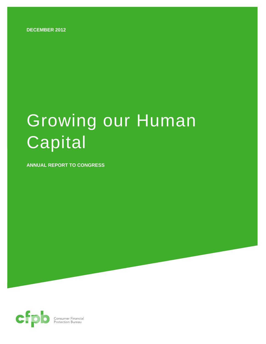**DECEMBER 2012** 

# Growing our Human Capital

**ANNUAL REPORT TO CONGRESS** 

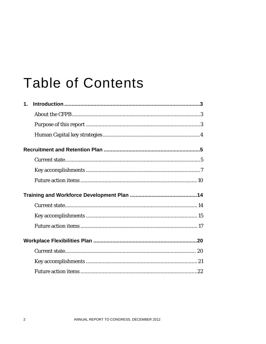## **Table of Contents**

| $\mathbf 1$ . |  |
|---------------|--|
|               |  |
|               |  |
|               |  |
|               |  |
|               |  |
|               |  |
|               |  |
|               |  |
|               |  |
|               |  |
|               |  |
|               |  |
|               |  |
|               |  |
|               |  |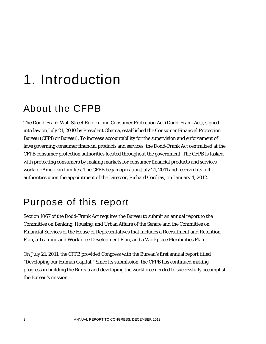## 1. Introduction

## About the CFPB

The Dodd-Frank Wall Street Reform and Consumer Protection Act (Dodd-Frank Act), signed into law on July 21, 2010 by President Obama, established the Consumer Financial Protection Bureau (CFPB or Bureau). To increase accountability for the supervision and enforcement of laws governing consumer financial products and services, the Dodd-Frank Act centralized at the CFPB consumer protection authorities located throughout the government. The CFPB is tasked with protecting consumers by making markets for consumer financial products and services work for American families. The CFPB began operation July 21, 2011 and received its full authorities upon the appointment of the Director, Richard Cordray, on January 4, 2012.

## Purpose of this report

Section 1067 of the Dodd-Frank Act requires the Bureau to submit an annual report to the Committee on Banking, Housing, and Urban Affairs of the Senate and the Committee on Financial Services of the House of Representatives that includes a Recruitment and Retention Plan, a Training and Workforce Development Plan, and a Workplace Flexibilities Plan.

On July 21, 2011, the CFPB provided Congress with the Bureau's first annual report titled "Developing our Human Capital." Since its submission, the CFPB has continued making progress in building the Bureau and developing the workforce needed to successfully accomplish the Bureau's mission.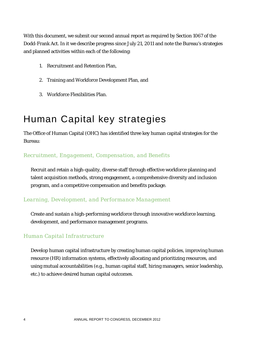With this document, we submit our second annual report as required by Section 1067 of the Dodd-Frank Act. In it we describe progress since July 21, 2011 and note the Bureau's strategies and planned activities within each of the following:

- 1. Recruitment and Retention Plan,
- 2. Training and Workforce Development Plan, and
- 3. Workforce Flexibilities Plan.

## Human Capital key strategies

The Office of Human Capital (OHC) has identified three key human capital strategies for the Bureau:

#### *Recruitment, Engagement, Compensation, and Benefits*

Recruit and retain a high-quality, diverse staff through effective workforce planning and talent acquisition methods, strong engagement, a comprehensive diversity and inclusion program, and a competitive compensation and benefits package.

#### *Learning, Development, and Performance Management*

Create and sustain a high-performing workforce through innovative workforce learning, development, and performance management programs.

#### *Human Capital Infrastructure*

Develop human capital infrastructure by creating human capital policies, improving human resource (HR) information systems, effectively allocating and prioritizing resources, and using mutual accountabilities (e.g., human capital staff, hiring managers, senior leadership, etc.) to achieve desired human capital outcomes.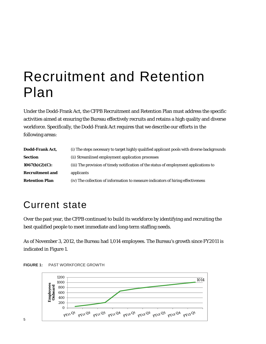## Recruitment and Retention Plan

Under the Dodd-Frank Act, the CFPB Recruitment and Retention Plan must address the specific activities aimed at ensuring the Bureau effectively recruits and retains a high quality and diverse workforce. Specifically, the Dodd-Frank Act requires that we describe our efforts in the following areas:

| Dodd-Frank Act,        | (i) The steps necessary to target highly qualified applicant pools with diverse backgrounds |
|------------------------|---------------------------------------------------------------------------------------------|
| <b>Section</b>         | (ii) Streamlined employment application processes                                           |
| $1067(b)(2)(C)$ :      | (iii) The provision of timely notification of the status of employment applications to      |
| <b>Recruitment and</b> | applicants                                                                                  |
| <b>Retention Plan</b>  | (iv) The collection of information to measure indicators of hiring effectiveness            |

## Current state

Over the past year, the CFPB continued to build its workforce by identifying and recruiting the best qualified people to meet immediate and long-term staffing needs.

As of November 3, 2012, the Bureau had 1,014 employees. The Bureau's growth since FY2011 is indicated in Figure 1.



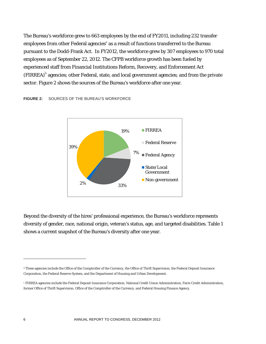The Bureau's workforce grew to 663 employees by the end of FY2011, including 232 transfer employees from other Federal agencies<sup>a</sup> as a result of functions transferred to the Bureau pursuant to the Dodd-Frank Act. In FY2012, the workforce grew by 307 employees to 970 total employees as of September 22, 2012. The CFPB workforce growth has been fueled by experienced staff from Financial Institutions Reform, Recovery, and Enforcement Act  $(FIRREA)^{b}$  agencies; other Federal, state, and local government agencies; and from the private sector. Figure 2 shows the sources of the Bureau's workforce after one year.

#### **FIGURE 2:** SOURCES OF THE BUREAU'S WORKFORCE



Beyond the diversity of the hires' professional experience, the Bureau's workforce represents diversity of gender, race, national origin, veteran's status, age, and targeted disabilities. Table 1 shows a current snapshot of the Bureau's diversity after one year.

 $\overline{a}$ 

a These agencies include the Office of the Comptroller of the Currency, the Office of Thrift Supervision, the Federal Deposit Insurance Corporation, the Federal Reserve System, and the Department of Housing and Urban Development.

<sup>b</sup> FIRREA agencies include the Federal Deposit Insurance Corporation, National Credit Union Administration, Farm Credit Administration, former Office of Thrift Supervision, Office of the Comptroller of the Currency, and Federal Housing Finance Agency.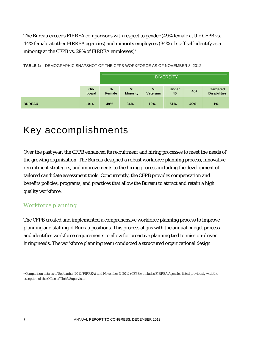The Bureau exceeds FIRREA comparisons with respect to gender (49% female at the CFPB vs. 44% female at other FIRREA agencies) and minority employees (34% of staff self-identify as a minority at the CFPB vs. 29% of FIRREA employees) $\text{c}$ .

|               |              | <b>DIVERSITY</b>        |                      |                      |                    |       |                                 |
|---------------|--------------|-------------------------|----------------------|----------------------|--------------------|-------|---------------------------------|
|               | On-<br>board | $\frac{9}{6}$<br>Female | %<br><b>Minority</b> | %<br><b>Veterans</b> | <b>Under</b><br>40 | $40+$ | <b>Targeted</b><br>Disabilities |
| <b>BUREAU</b> | 1014         | 49%                     | 34%                  | 12%                  | 51%                | 49%   | 1%                              |

**TABLE 1:** DEMOGRAPHIC SNAPSHOT OF THE CFPB WORKFORCE AS OF NOVEMBER 3, 2012

## Key accomplishments

Over the past year, the CFPB enhanced its recruitment and hiring processes to meet the needs of the growing organization. The Bureau designed a robust workforce planning process, innovative recruitment strategies, and improvements to the hiring process including the development of tailored candidate assessment tools. Concurrently, the CFPB provides compensation and benefits policies, programs, and practices that allow the Bureau to attract and retain a high quality workforce.

#### *Workforce planning*

The CFPB created and implemented a comprehensive workforce planning process to improve planning and staffing of Bureau positions. This process aligns with the annual budget process and identifies workforce requirements to allow for proactive planning tied to mission-driven hiring needs. The workforce planning team conducted a structured organizational design

<u>.</u>

c Comparison data as of September 2012(FIRREA) and November 3, 2012 (CFPB); includes FIRREA Agencies listed previously with the exception of the Office of Thrift Supervision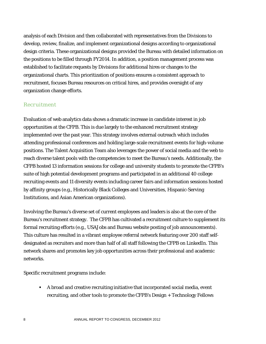analysis of each Division and then collaborated with representatives from the Divisions to develop, review, finalize, and implement organizational designs according to organizational design criteria. These organizational designs provided the Bureau with detailed information on the positions to be filled through FY2014. In addition, a position management process was established to facilitate requests by Divisions for additional hires or changes to the organizational charts. This prioritization of positions ensures a consistent approach to recruitment, focuses Bureau resources on critical hires, and provides oversight of any organization change efforts.

#### *Recruitment*

Evaluation of web analytics data shows a dramatic increase in candidate interest in job opportunities at the CFPB. This is due largely to the enhanced recruitment strategy implemented over the past year. This strategy involves external outreach which includes attending professional conferences and holding large-scale recruitment events for high-volume positions. The Talent Acquisition Team also leverages the power of social media and the web to reach diverse talent pools with the competencies to meet the Bureau's needs. Additionally, the CFPB hosted 13 information sessions for college and university students to promote the CFPB's suite of high potential development programs and participated in an additional 40 college recruiting events and 11 diversity events including career fairs and information sessions hosted by affinity groups (e.g., Historically Black Colleges and Universities, Hispanic-Serving Institutions, and Asian American organizations).

Involving the Bureau's diverse set of current employees and leaders is also at the core of the Bureau's recruitment strategy. The CFPB has cultivated a recruitment culture to supplement its formal recruiting efforts (e.g., USAJobs and Bureau website posting of job announcements). This culture has resulted in a vibrant employee referral network featuring over 200 staff selfdesignated as recruiters and more than half of all staff following the CFPB on LinkedIn. This network shares and promotes key job opportunities across their professional and academic networks.

Specific recruitment programs include:

 A broad and creative recruiting initiative that incorporated social media, event recruiting, and other tools to promote the CFPB's Design + Technology Fellows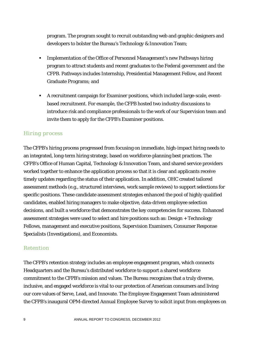program. The program sought to recruit outstanding web and graphic designers and developers to bolster the Bureau's Technology & Innovation Team;

- **IMPLE 1.5 Implementation of the Office of Personnel Management's new Pathways hiring** program to attract students and recent graduates to the Federal government and the CFPB. Pathways includes Internship, Presidential Management Fellow, and Recent Graduate Programs; and
- A recruitment campaign for Examiner positions, which included large-scale, eventbased recruitment. For example, the CFPB hosted two industry discussions to introduce risk and compliance professionals to the work of our Supervision team and invite them to apply for the CFPB's Examiner positions.

#### *Hiring process*

The CFPB's hiring process progressed from focusing on immediate, high-impact hiring needs to an integrated, long-term hiring strategy, based on workforce-planning best practices. The CFPB's Office of Human Capital, Technology & Innovation Team, and shared service providers worked together to enhance the application process so that it is clear and applicants receive timely updates regarding the status of their application. In addition, OHC created tailored assessment methods (e.g., structured interviews, work sample reviews) to support selections for specific positions. These candidate assessment strategies enhanced the pool of highly qualified candidates, enabled hiring managers to make objective, data-driven employee selection decisions, and built a workforce that demonstrates the key competencies for success. Enhanced assessment strategies were used to select and hire positions such as: Design + Technology Fellows, management and executive positions, Supervision Examiners, Consumer Response Specialists (Investigations), and Economists.

#### *Retention*

The CFPB's retention strategy includes an employee engagement program, which connects Headquarters and the Bureau's distributed workforce to support a shared workforce commitment to the CFPB's mission and values. The Bureau recognizes that a truly diverse, inclusive, and engaged workforce is vital to our protection of American consumers and living our core values of Serve, Lead, and Innovate. The Employee Engagement Team administered the CFPB's inaugural OPM-directed Annual Employee Survey to solicit input from employees on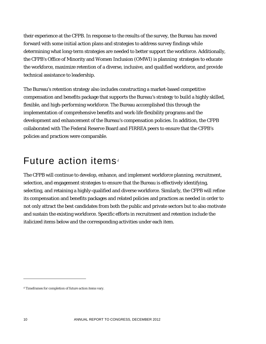their experience at the CFPB. In response to the results of the survey, the Bureau has moved forward with some initial action plans and strategies to address survey findings while determining what long-term strategies are needed to better support the workforce. Additionally, the CFPB's Office of Minority and Women Inclusion (OMWI) is planning strategies to educate the workforce, maximize retention of a diverse, inclusive, and qualified workforce, and provide technical assistance to leadership.

The Bureau's retention strategy also includes constructing a market-based competitive compensation and benefits package that supports the Bureau's strategy to build a highly skilled, flexible, and high-performing workforce. The Bureau accomplished this through the implementation of comprehensive benefits and work-life flexibility programs and the development and enhancement of the Bureau's compensation policies. In addition, the CFPB collaborated with The Federal Reserve Board and FIRREA peers to ensure that the CFPB's policies and practices were comparable.

### Future action items<sup>d</sup>

The CFPB will continue to develop, enhance, and implement workforce planning, recruitment, selection, and engagement strategies to ensure that the Bureau is effectively identifying, selecting, and retaining a highly-qualified and diverse workforce. Similarly, the CFPB will refine its compensation and benefits packages and related policies and practices as needed in order to not only attract the best candidates from both the public and private sectors but to also motivate and sustain the existing workforce. Specific efforts in recruitment and retention include the italicized items below and the corresponding activities under each item.

 $\overline{a}$ 

d Timeframes for completion of future action items vary.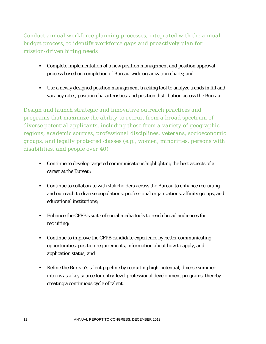*Conduct annual workforce planning processes, integrated with the annual budget process, to identify workforce gaps and proactively plan for mission-driven hiring needs* 

- Complete implementation of a new position management and position approval process based on completion of Bureau-wide organization charts; and
- Use a newly designed position management tracking tool to analyze trends in fill and vacancy rates, position characteristics, and position distribution across the Bureau.

*Design and launch strategic and innovative outreach practices and programs that maximize the ability to recruit from a broad spectrum of diverse potential applicants, including those from a variety of geographic regions, academic sources, professional disciplines, veterans, socioeconomic groups, and legally protected classes (e.g., women, minorities, persons with disabilities, and people over 40)* 

- Continue to develop targeted communications highlighting the best aspects of a career at the Bureau;
- Continue to collaborate with stakeholders across the Bureau to enhance recruiting and outreach to diverse populations, professional organizations, affinity groups, and educational institutions;
- Enhance the CFPB's suite of social media tools to reach broad audiences for recruiting;
- Continue to improve the CFPB candidate experience by better communicating opportunities, position requirements, information about how to apply, and application status; and
- Refine the Bureau's talent pipeline by recruiting high-potential, diverse summer interns as a key source for entry-level professional development programs, thereby creating a continuous cycle of talent.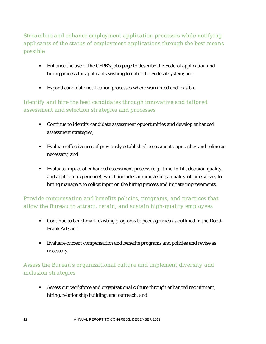*Streamline and enhance employment application processes while notifying applicants of the status of employment applications through the best means possible* 

- Enhance the use of the CFPB's jobs page to describe the Federal application and hiring process for applicants wishing to enter the Federal system; and
- **Expand candidate notification processes where warranted and feasible.**

#### *Identify and hire the best candidates through innovative and tailored assessment and selection strategies and processes*

- Continue to identify candidate assessment opportunities and develop enhanced assessment strategies;
- Evaluate effectiveness of previously established assessment approaches and refine as necessary; and
- Evaluate impact of enhanced assessment process (e.g., time-to-fill, decision quality, and applicant experience), which includes administering a quality-of-hire survey to hiring managers to solicit input on the hiring process and initiate improvements.

#### *Provide compensation and benefits policies, programs, and practices that allow the Bureau to attract, retain, and sustain high-quality employees*

- Continue to benchmark existing programs to peer agencies as outlined in the Dodd-Frank Act; and
- Evaluate current compensation and benefits programs and policies and revise as necessary.

#### *Assess the Bureau's organizational culture and implement diversity and inclusion strategies*

 Assess our workforce and organizational culture through enhanced recruitment, hiring, relationship building, and outreach; and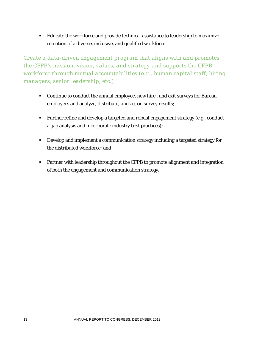Educate the workforce and provide technical assistance to leadership to maximize retention of a diverse, inclusive, and qualified workforce.

*Create a data-driven engagement program that aligns with and promotes the CFPB's mission, vision, values, and strategy and supports the CFPB workforce through mutual accountabilities (e.g., human capital staff, hiring managers, senior leadership, etc.)* 

- Continue to conduct the annual employee, new hire , and exit surveys for Bureau employees and analyze, distribute, and act on survey results;
- Further refine and develop a targeted and robust engagement strategy (e.g., conduct a gap analysis and incorporate industry best practices);
- Develop and implement a communication strategy including a targeted strategy for the distributed workforce; and
- **Partner with leadership throughout the CFPB to promote alignment and integration** of both the engagement and communication strategy.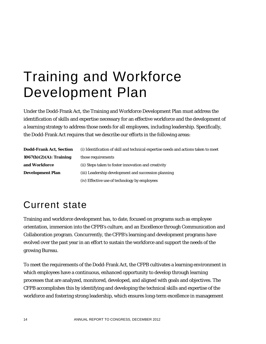## Training and Workforce Development Plan

Under the Dodd-Frank Act, the Training and Workforce Development Plan must address the identification of skills and expertise necessary for an effective workforce and the development of a learning strategy to address those needs for all employees, including leadership. Specifically, the Dodd-Frank Act requires that we describe our efforts in the following areas:

| Dodd-Frank Act, Section | (i) Identification of skill and technical expertise needs and actions taken to meet |
|-------------------------|-------------------------------------------------------------------------------------|
| 1067(b)(2)(A): Training | those requirements                                                                  |
| and Workforce           | (ii) Steps taken to foster innovation and creativity                                |
| <b>Development Plan</b> | (iii) Leadership development and succession planning                                |
|                         |                                                                                     |

(iv) Effective use of technology by employees

## Current state

Training and workforce development has, to date, focused on programs such as employee orientation, immersion into the CFPB's culture, and an Excellence through Communication and Collaboration program. Concurrently, the CFPB's learning and development programs have evolved over the past year in an effort to sustain the workforce and support the needs of the growing Bureau.

To meet the requirements of the Dodd-Frank Act, the CFPB cultivates a learning environment in which employees have a continuous, enhanced opportunity to develop through learning processes that are analyzed, monitored, developed, and aligned with goals and objectives. The CFPB accomplishes this by identifying and developing the technical skills and expertise of the workforce and fostering strong leadership, which ensures long-term excellence in management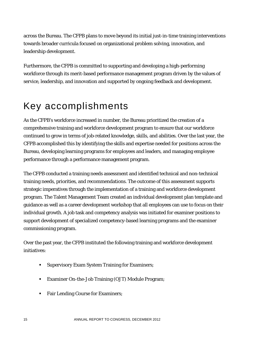across the Bureau. The CFPB plans to move beyond its initial just-in-time training interventions towards broader curricula focused on organizational problem solving, innovation, and leadership development.

Furthermore, the CFPB is committed to supporting and developing a high-performing workforce through its merit-based performance management program driven by the values of service, leadership, and innovation and supported by ongoing feedback and development.

## Key accomplishments

As the CFPB's workforce increased in number, the Bureau prioritized the creation of a comprehensive training and workforce development program to ensure that our workforce continued to grow in terms of job-related knowledge, skills, and abilities. Over the last year, the CFPB accomplished this by identifying the skills and expertise needed for positions across the Bureau, developing learning programs for employees and leaders, and managing employee performance through a performance management program.

The CFPB conducted a training needs assessment and identified technical and non-technical training needs, priorities, and recommendations. The outcome of this assessment supports strategic imperatives through the implementation of a training and workforce development program. The Talent Management Team created an individual development plan template and guidance as well as a career development workshop that all employees can use to focus on their individual growth. A job task and competency analysis was initiated for examiner positions to support development of specialized competency-based learning programs and the examiner commissioning program.

Over the past year, the CFPB instituted the following training and workforce development initiatives:

- **Supervisory Exam System Training for Examiners;**
- Examiner On-the-Job Training (OJT) Module Program;
- Fair Lending Course for Examiners;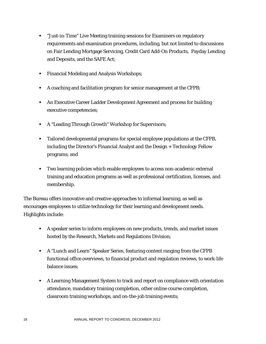- "Just-in-Time" Live Meeting training sessions for Examiners on regulatory requirements and examination procedures, including, but not limited to discussions on Fair Lending Mortgage Servicing, Credit Card Add-On Products, Payday Lending and Deposits, and the SAFE Act;
- **Financial Modeling and Analysis Workshops;**
- A coaching and facilitation program for senior management at the CFPB;
- An Executive Career Ladder Development Agreement and process for building executive competencies;
- A "Leading Through Growth" Workshop for Supervisors;
- Tailored developmental programs for special employee populations at the CFPB, including the Director's Financial Analyst and the Design + Technology Fellow programs; and
- Two learning policies which enable employees to access non-academic external training and education programs as well as professional certification, licenses, and membership.

The Bureau offers innovative and creative approaches to informal learning, as well as encourages employees to utilize technology for their learning and development needs. Highlights include:

- A speaker series to inform employees on new products, trends, and market issues hosted by the Research, Markets and Regulations Division;
- A "Lunch and Learn" Speaker Series, featuring content ranging from the CFPB functional office overviews, to financial product and regulation reviews, to work-life balance issues;
- A Learning Management System to track and report on compliance with orientation attendance, mandatory training completion, other online course completion, classroom training workshops, and on-the-job training events;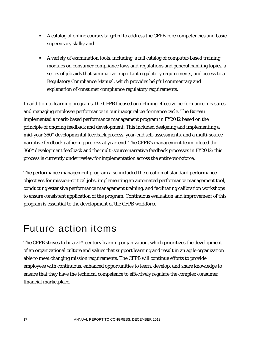- A catalog of online courses targeted to address the CFPB core competencies and basic supervisory skills; and
- A variety of examination tools, including a full catalog of computer-based training modules on consumer compliance laws and regulations and general banking topics, a series of job aids that summarize important regulatory requirements, and access to a Regulatory Compliance Manual, which provides helpful commentary and explanation of consumer compliance regulatory requirements.

In addition to learning programs, the CFPB focused on defining effective performance measures and managing employee performance in our inaugural performance cycle. The Bureau implemented a merit-based performance management program in FY2012 based on the principle of ongoing feedback and development. This included designing and implementing a mid-year 360° developmental feedback process, year-end self-assessments, and a multi-source narrative feedback gathering process at year-end. The CFPB's management team piloted the 360° development feedback and the multi-source narrative feedback processes in FY2012; this process is currently under review for implementation across the entire workforce.

The performance management program also included the creation of standard performance objectives for mission-critical jobs, implementing an automated performance management tool, conducting extensive performance management training, and facilitating calibration workshops to ensure consistent application of the program. Continuous evaluation and improvement of this program is essential to the development of the CFPB workforce.

### Future action items

The CFPB strives to be a  $21<sup>st</sup>$  century learning organization, which prioritizes the development of an organizational culture and values that support learning and result in an agile organization able to meet changing mission requirements. The CFPB will continue efforts to provide employees with continuous, enhanced opportunities to learn, develop, and share knowledge to ensure that they have the technical competence to effectively regulate the complex consumer financial marketplace.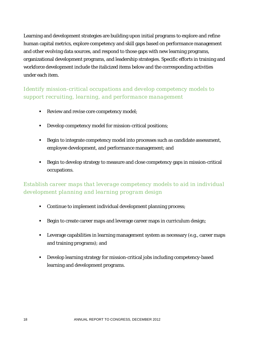Learning and development strategies are building upon initial programs to explore and refine human capital metrics, explore competency and skill gaps based on performance management and other evolving data sources, and respond to those gaps with new learning programs, organizational development programs, and leadership strategies. Specific efforts in training and workforce development include the italicized items below and the corresponding activities under each item.

#### *Identify mission-critical occupations and develop competency models to support recruiting, learning, and performance management*

- Review and revise core competency model;
- Develop competency model for mission-critical positions;
- **Begin to integrate competency model into processes such as candidate assessment,** employee development, and performance management; and
- Begin to develop strategy to measure and close competency gaps in mission-critical occupations.

#### *Establish career maps that leverage competency models to aid in individual development planning and learning program design*

- Continue to implement individual development planning process;
- **Begin to create career maps and leverage career maps in curriculum design;**
- **EXECT** Leverage capabilities in learning management system as necessary (e.g., career maps and training programs); and
- Develop learning strategy for mission-critical jobs including competency-based learning and development programs.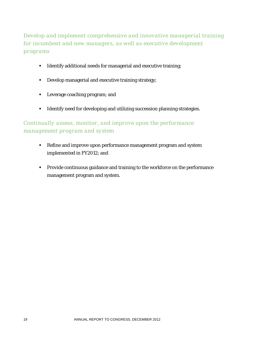*Develop and implement comprehensive and innovative managerial training for incumbent and new managers, as well as executive development programs* 

- **IDENTIFY IDENTIFY** 1 Identify additional needs for managerial and executive training;
- Develop managerial and executive training strategy;
- **EXECUTE:** Leverage coaching program; and
- **IDENTIFY 1998 1** Identify need for developing and utilizing succession planning strategies.

#### *Continually assess, monitor, and improve upon the performance management program and system*

- Refine and improve upon performance management program and system implemented in FY2012; and
- **Provide continuous guidance and training to the workforce on the performance** management program and system.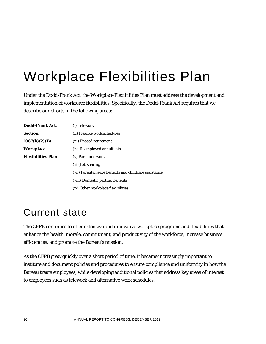## Workplace Flexibilities Plan

Under the Dodd-Frank Act, the Workplace Flexibilities Plan must address the development and implementation of workforce flexibilities. Specifically, the Dodd-Frank Act requires that we describe our efforts in the following areas:

| Dodd-Frank Act.           | (i) Telework                                           |
|---------------------------|--------------------------------------------------------|
| Section                   | (ii) Flexible work schedules                           |
| $1067(b)(2)(B)$ :         | (iii) Phased retirement                                |
| Workplace                 | (iv) Reemployed annuitants                             |
| <b>Flexibilities Plan</b> | (v) Part-time work                                     |
|                           | (vi) Job sharing                                       |
|                           | (vii) Parental leave benefits and childcare assistance |
|                           | (viii) Domestic partner benefits                       |
|                           | (ix) Other workplace flexibilities                     |

## Current state

The CFPB continues to offer extensive and innovative workplace programs and flexibilities that enhance the health, morale, commitment, and productivity of the workforce, increase business efficiencies, and promote the Bureau's mission.

As the CFPB grew quickly over a short period of time, it became increasingly important to institute and document policies and procedures to ensure compliance and uniformity in how the Bureau treats employees, while developing additional policies that address key areas of interest to employees such as telework and alternative work schedules.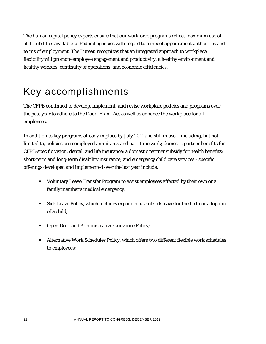The human capital policy experts ensure that our workforce programs reflect maximum use of all flexibilities available to Federal agencies with regard to a mix of appointment authorities and terms of employment. The Bureau recognizes that an integrated approach to workplace flexibility will promote employee engagement and productivity, a healthy environment and healthy workers, continuity of operations, and economic efficiencies.

## Key accomplishments

The CFPB continued to develop, implement, and revise workplace policies and programs over the past year to adhere to the Dodd-Frank Act as well as enhance the workplace for all employees.

In addition to key programs already in place by July 2011 and still in use – including, but not limited to, policies on reemployed annuitants and part-time work; domestic partner benefits for CFPB-specific vision, dental, and life insurance; a domestic partner subsidy for health benefits; short-term and long-term disability insurance; and emergency child care services - specific offerings developed and implemented over the last year include:

- Voluntary Leave Transfer Program to assist employees affected by their own or a family member's medical emergency;
- Sick Leave Policy, which includes expanded use of sick leave for the birth or adoption of a child;
- **Open Door and Administrative Grievance Policy;**
- Alternative Work Schedules Policy, which offers two different flexible work schedules to employees;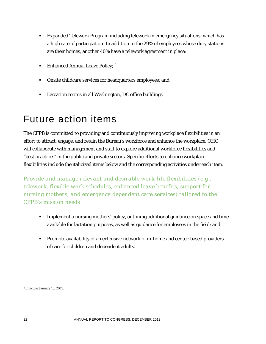- Expanded Telework Program including telework in emergency situations, which has a high rate of participation. In addition to the 29% of employees whose duty stations are their homes, another 40% have a telework agreement in place;
- Enhanced Annual Leave Policy;  $e^e$
- Onsite childcare services for headquarters employees; and
- **Lactation rooms in all Washington, DC office buildings.**

## Future action items

The CFPB is committed to providing and continuously improving workplace flexibilities in an effort to attract, engage, and retain the Bureau's workforce and enhance the workplace. OHC will collaborate with management and staff to explore additional workforce flexibilities and "best practices" in the public and private sectors. Specific efforts to enhance workplace flexibilities include the italicized items below and the corresponding activities under each item.

*Provide and manage relevant and desirable work-life flexibilities (e.g., telework, flexible work schedules, enhanced leave benefits, support for nursing mothers, and emergency dependent care services) tailored to the CFPB's mission needs* 

- Implement a nursing mothers' policy, outlining additional guidance on space and time available for lactation purposes, as well as guidance for employees in the field; and
- **Promote availability of an extensive network of in-home and center-based providers** of care for children and dependent adults.

<u>.</u>

e Effective January 13, 2013.